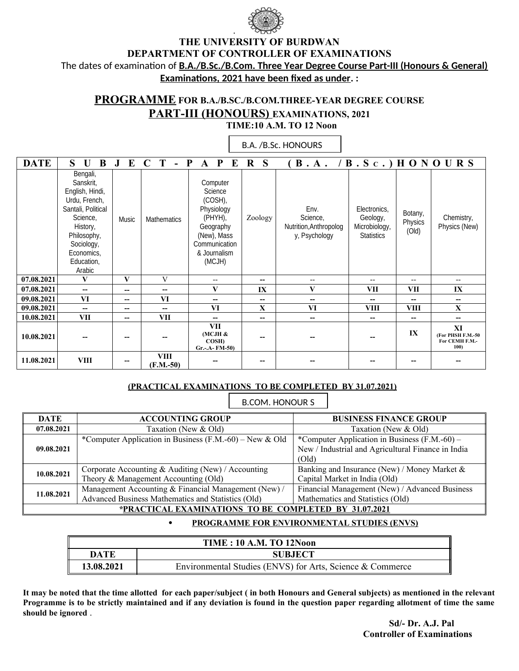

.

## **THE UNIVERSITY OF BURDWAN DEPARTMENT OF CONTROLLER OF EXAMINATIONS**  The dates of examination of **B.A./B.Sc./B.Com. Three Year Degree Course Part-III (Honours & General) Examinations, 2021 have been fixed as under. :**

## **PROGRAMME FOR B.A./B.SC./B.COM.THREE-YEAR DEGREE COURSE PART-III (HONOURS) EXAMINATIONS, 2021 TIME:10 A.M. TO 12 Noon**

| <b>DATE</b> | S<br>B<br>$\mathbf{U}$                                                                                                                                                     | E<br>J.                  | T<br>$\mathbf C$<br>$\blacksquare$ | $\bf{E}$<br>P<br>P<br>$\mathbf{A}$                                                                                             | S<br>$\bf R$ | (B.A. / B.Sc.) H ON O UR S                                  |                                                                |                             |                                                   |
|-------------|----------------------------------------------------------------------------------------------------------------------------------------------------------------------------|--------------------------|------------------------------------|--------------------------------------------------------------------------------------------------------------------------------|--------------|-------------------------------------------------------------|----------------------------------------------------------------|-----------------------------|---------------------------------------------------|
|             | Bengali,<br>Sanskrit,<br>English, Hindi,<br>Urdu, French,<br>Santali, Political<br>Science,<br>History,<br>Philosophy,<br>Sociology,<br>Economics,<br>Education,<br>Arabic | Music                    | Mathematics                        | Computer<br>Science<br>(COSH),<br>Physiology<br>(PHYH),<br>Geography<br>(New), Mass<br>Communication<br>& Journalism<br>(MCJH) | Zoology      | Env.<br>Science,<br>Nutrition, Anthropolog<br>y, Psychology | Electronics,<br>Geology,<br>Microbiology,<br><b>Statistics</b> | Botany,<br>Physics<br>(Old) | Chemistry,<br>Physics (New)                       |
| 07.08.2021  | V                                                                                                                                                                          | V                        | V                                  | $\overline{\phantom{a}}$                                                                                                       | $-$          | $\overline{\phantom{a}}$                                    | $\overline{\phantom{a}}$                                       | $-$                         | $- -$                                             |
| 07.08.2021  | $-$                                                                                                                                                                        | --                       | --                                 | $\bf{V}$                                                                                                                       | IX           | $\mathbf{V}$                                                | <b>VII</b>                                                     | VII                         | IX                                                |
| 09.08.2021  | VI                                                                                                                                                                         | $\overline{\phantom{a}}$ | VI                                 | $-$                                                                                                                            | $-$          | $-$                                                         | $-$                                                            | --                          | $\hspace{0.05cm}$                                 |
| 09.08.2021  | $- -$                                                                                                                                                                      | $\overline{\phantom{a}}$ | $- -$                              | VI                                                                                                                             | $\mathbf X$  | VI                                                          | <b>VIII</b>                                                    | <b>VIII</b>                 | X                                                 |
| 10.08.2021  | VII                                                                                                                                                                        | $\overline{\phantom{a}}$ | VII                                | $-$                                                                                                                            | $- -$        | $- -$                                                       | $-$                                                            | --                          | $- -$                                             |
| 10.08.2021  |                                                                                                                                                                            | --                       |                                    | <b>VII</b><br>(MCJH &<br>COSH)<br>Gr.-.A- FM-50)                                                                               |              |                                                             |                                                                | IX                          | XI<br>(For PHSH F.M.-50<br>For CEMH F.M.-<br>100) |
| 11.08.2021  | <b>VIII</b>                                                                                                                                                                | --                       | <b>VIII</b><br>$(F.M.-50)$         |                                                                                                                                |              |                                                             |                                                                |                             |                                                   |

# **B.A. / B.Sc. HONOURS**  B.A. /B.Sc. HONOURS

### **(PRACTICAL EXAMINATIONS TO BE COMPLETED BY 31.07.2021)**

B.COM. HONOUR S

| <b>DATE</b>                                           | <b>ACCOUNTING GROUP</b>                                 | <b>BUSINESS FINANCE GROUP</b>                      |  |
|-------------------------------------------------------|---------------------------------------------------------|----------------------------------------------------|--|
| 07.08.2021                                            | Taxation (New & Old)                                    | Taxation (New & Old)                               |  |
|                                                       | *Computer Application in Business (F.M.-60) – New & Old | *Computer Application in Business (F.M.-60) –      |  |
| 09.08.2021                                            |                                                         | New / Industrial and Agricultural Finance in India |  |
|                                                       |                                                         | (Old)                                              |  |
| 10.08.2021                                            | Corporate Accounting & Auditing (New) / Accounting      | Banking and Insurance (New) / Money Market &       |  |
|                                                       | Theory & Management Accounting (Old)                    | Capital Market in India (Old)                      |  |
| 11.08.2021                                            | Management Accounting & Financial Management (New) /    | Financial Management (New) / Advanced Business     |  |
|                                                       | Advanced Business Mathematics and Statistics (Old)      | Mathematics and Statistics (Old)                   |  |
| *PRACTICAL EXAMINATIONS TO BE COMPLETED BY 31.07.2021 |                                                         |                                                    |  |

#### **PROGRAMME FOR ENVIRONMENTAL STUDIES (ENVS)**

| <b>TIME: 10 A.M. TO 12Noon</b> |                                                           |  |
|--------------------------------|-----------------------------------------------------------|--|
| <b>DATE</b>                    | <b>SUBJECT</b>                                            |  |
| 13.08.2021                     | Environmental Studies (ENVS) for Arts, Science & Commerce |  |

**It may be noted that the time allotted for each paper/subject ( in both Honours and General subjects) as mentioned in the relevant Programme is to be strictly maintained and if any deviation is found in the question paper regarding allotment of time the same should be ignored** .

> **Sd/- Dr. A.J. Pal Controller of Examinations**